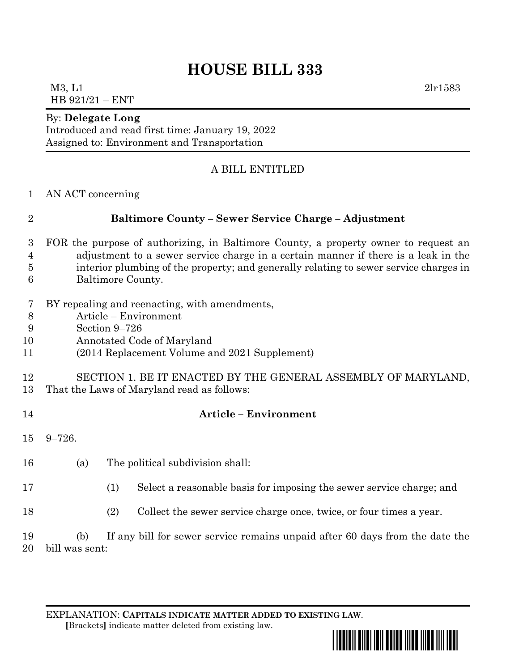## **HOUSE BILL 333**

M3, L1 2lr1583 HB 921/21 – ENT

#### By: **Delegate Long**

Introduced and read first time: January 19, 2022 Assigned to: Environment and Transportation

## A BILL ENTITLED

AN ACT concerning

## **Baltimore County – Sewer Service Charge – Adjustment**

- FOR the purpose of authorizing, in Baltimore County, a property owner to request an adjustment to a sewer service charge in a certain manner if there is a leak in the interior plumbing of the property; and generally relating to sewer service charges in Baltimore County.
- BY repealing and reenacting, with amendments,
- Article Environment
- Section 9–726
- Annotated Code of Maryland
- (2014 Replacement Volume and 2021 Supplement)

### SECTION 1. BE IT ENACTED BY THE GENERAL ASSEMBLY OF MARYLAND, That the Laws of Maryland read as follows:

### **Article – Environment**

- 9–726.
- (a) The political subdivision shall:
- (1) Select a reasonable basis for imposing the sewer service charge; and
- (2) Collect the sewer service charge once, twice, or four times a year.

 (b) If any bill for sewer service remains unpaid after 60 days from the date the bill was sent:

EXPLANATION: **CAPITALS INDICATE MATTER ADDED TO EXISTING LAW**.  **[**Brackets**]** indicate matter deleted from existing law.